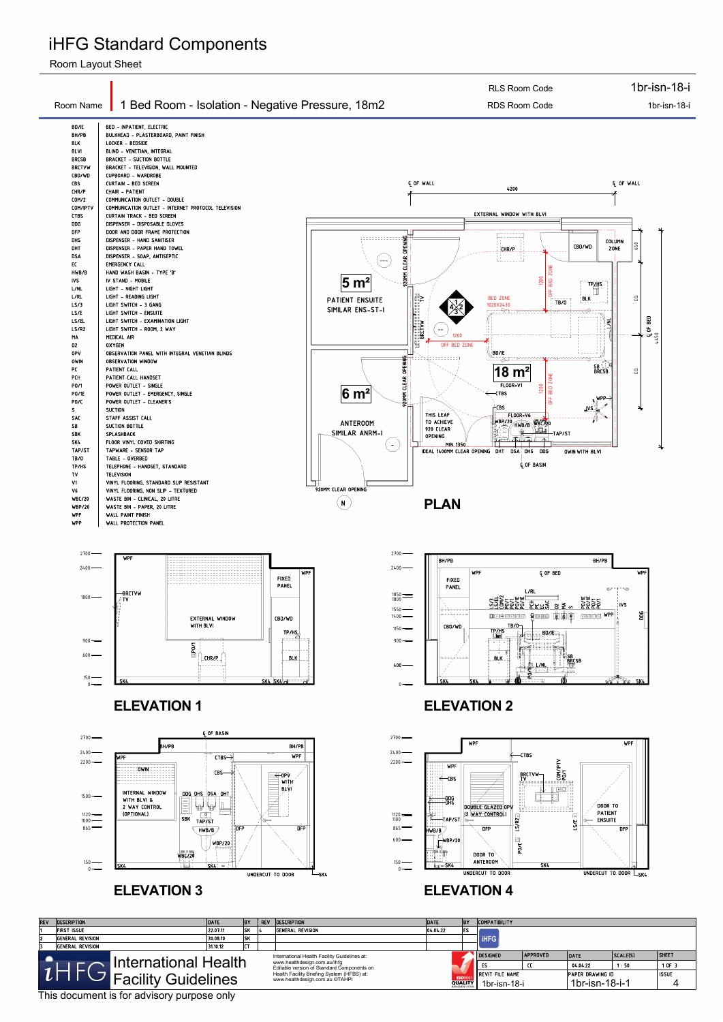





## iHFG Standard Components

Room Layout Sheet

This document is for advisory purpose only



| <b>REV</b>           | <b>DESCRIPTION</b>                           | <b>DATE</b> | IB۲ | <b>REV</b> | <b>DESCRIPTION</b>                                                         | DATE     |                                     | <b>COMPATIBILITY</b>   |                         |                |          |              |
|----------------------|----------------------------------------------|-------------|-----|------------|----------------------------------------------------------------------------|----------|-------------------------------------|------------------------|-------------------------|----------------|----------|--------------|
|                      | First Issue                                  | 22.07.11    | 1sk |            | <b>GENERAL REVISION</b>                                                    | 04.04.22 | IES.                                |                        |                         |                |          |              |
| 12                   | <b>GENERAL REVISION</b>                      | 30.08.10    | ∣sk |            |                                                                            |          |                                     | <b>I</b> iHFG          |                         |                |          |              |
|                      | General Revision                             | 31.10.12    |     |            |                                                                            |          |                                     |                        |                         |                |          |              |
|                      | International Health Facility Guidelines at: |             |     |            |                                                                            |          |                                     | <b>DESIGNED</b>        | <b>APPROVED</b>         | DATE           | SCALE(S) | <b>SHEET</b> |
| International Health |                                              |             |     |            | www.healthdesign.com.au/ihfg<br>Editable version of Standard Components on |          |                                     |                        |                         | 04.04.22       | 1:50     | 1 OF 3       |
| Facility Guidelines  |                                              |             |     |            | Health Facility Briefing System (HFBS) at:                                 |          | <b>ISO</b> 900                      | <b>REVIT FILE NAME</b> | <b>PAPER DRAWING ID</b> |                |          | <b>ISSUE</b> |
|                      |                                              |             |     |            | www.healthdesign.com.au ©TAHPI                                             |          | <b>QUALITY</b><br>MANAGEMENT SYSTEM | 1br-isn-18-i           |                         | 1br-isn-18-i-1 |          |              |

### **ELEVATION 3 ELEVATION 4**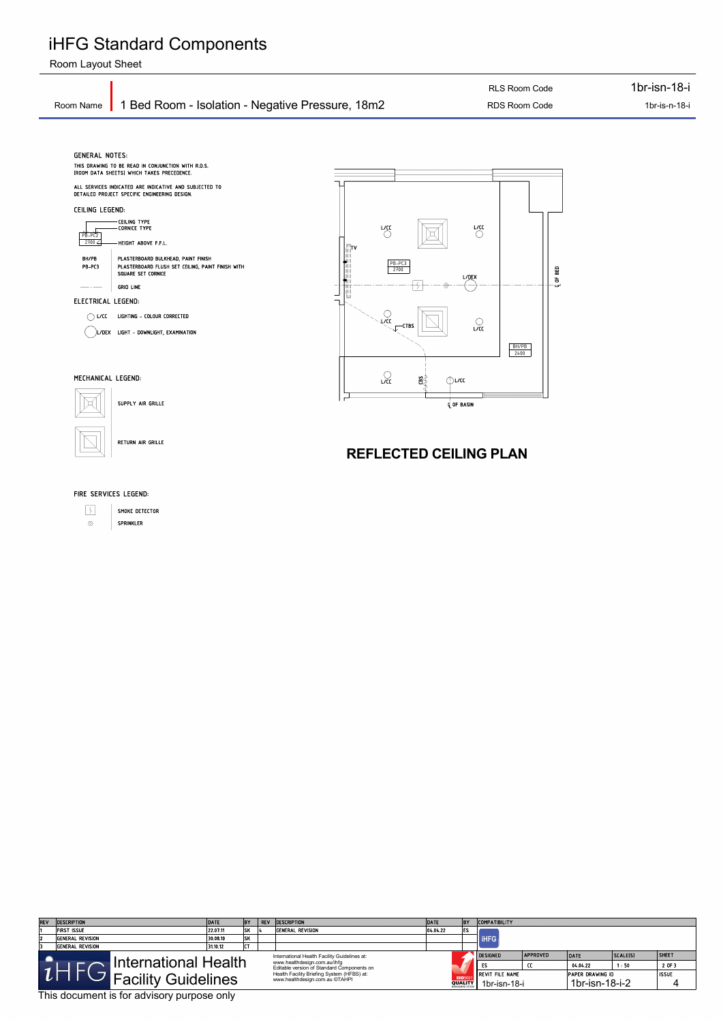#### FIRE SERVICES LEGEND:

 $\left\lfloor \frac{2}{3} \right\rfloor$ SMOKE DETECTOR SPRINKLER  $\circledcirc$ 

## iHFG Standard Components

Room Layout Sheet

This document is for advisory purpose only

| <b>REV</b>                                                                                           | <b>DESCRIPTION</b> | DATE     | <b>BY</b> | REV | <b>DESCRIPTION</b>                                                                                                         | DATE     | BY                                                    | <b>COMPATIBILITY</b>                    |                       |                                           |                   |                        |
|------------------------------------------------------------------------------------------------------|--------------------|----------|-----------|-----|----------------------------------------------------------------------------------------------------------------------------|----------|-------------------------------------------------------|-----------------------------------------|-----------------------|-------------------------------------------|-------------------|------------------------|
|                                                                                                      | FIRST ISSUE        | 22.07.11 | SK        |     | General Revision                                                                                                           | 04.04.22 | les.                                                  |                                         |                       |                                           |                   |                        |
| 12                                                                                                   | General Revision   | 30.08.10 | SK        |     |                                                                                                                            |          |                                                       | <b>IHFG</b>                             |                       |                                           |                   |                        |
|                                                                                                      | General Revision   | 31.10.12 | $- -$     |     |                                                                                                                            |          |                                                       |                                         |                       |                                           |                   |                        |
| International Health Facility Guidelines at:<br>International Health<br>www.healthdesign.com.au/ihfg |                    |          |           |     |                                                                                                                            |          |                                                       | <b>DESIGNED</b>                         | <b>APPROVED</b><br>cc | DATE<br>04.04.22                          | SCALE(S) <br>1:50 | <b>SHEET</b><br>2 OF 3 |
| <b>Facility Guidelines</b>                                                                           |                    |          |           |     | Editable version of Standard Components on<br>Health Facility Briefing System (HFBS) at:<br>www.healthdesign.com.au ©TAHPI |          | <b>ISO</b> 900<br><b>QUALITY</b><br>MANAGEMENT SYSTEM | <b>IREVIT FILE NAME</b><br>1br-isn-18-i |                       | <b>PAPER DRAWING ID</b><br>1br-isn-18-i-2 |                   | <b>ISSUE</b>           |